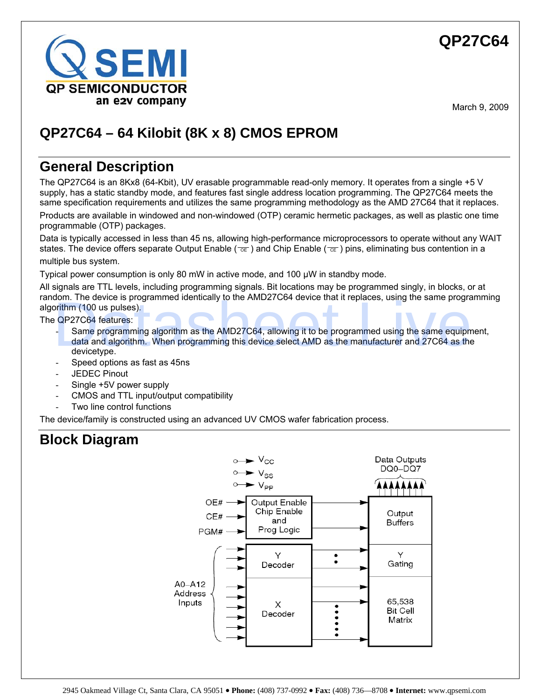

# **QP27C64 – 64 Kilobit (8K x 8) CMOS EPROM**

## **General Description**

The QP27C64 is an 8Kx8 (64-Kbit), UV erasable programmable read-only memory. It operates from a single +5 V supply, has a static standby mode, and features fast single address location programming. The QP27C64 meets the same specification requirements and utilizes the same programming methodology as the AMD 27C64 that it replaces.

Products are available in windowed and non-windowed (OTP) ceramic hermetic packages, as well as plastic one time programmable (OTP) packages.

Data is typically accessed in less than 45 ns, allowing high-performance microprocessors to operate without any WAIT states. The device offers separate Output Enable ( $\overline{oe}$ ) and Chip Enable ( $\overline{ce}$ ) pins, eliminating bus contention in a multiple bus system.

Typical power consumption is only 80 mW in active mode, and 100 μW in standby mode.

All signals are TTL levels, including programming signals. Bit locations may be programmed singly, in blocks, or at random. The device is programmed identically to the AMD27C64 device that it replaces, using the same programming algorithm (100 us pulses).

The QP27C64 features:

- Same programming algorithm as the AMD27C64, allowing it to be programmed using the same equipment, data and algorithm. When programming this device select AMD as the manufacturer and 27C64 as the devicetype. Some programmed identically to the AMD27C64 device that it replaces, using the same program<br>Drithm (100 us pulses).<br>
• QP27C64 features:<br>
• Same programming algorithm as the AMD27C64, allowing it to be programmed using the
- Speed options as fast as 45ns
- JEDEC Pinout
- Single +5V power supply
- CMOS and TTL input/output compatibility
- Two line control functions

The device/family is constructed using an advanced UV CMOS wafer fabrication process.

## **Block Diagram**

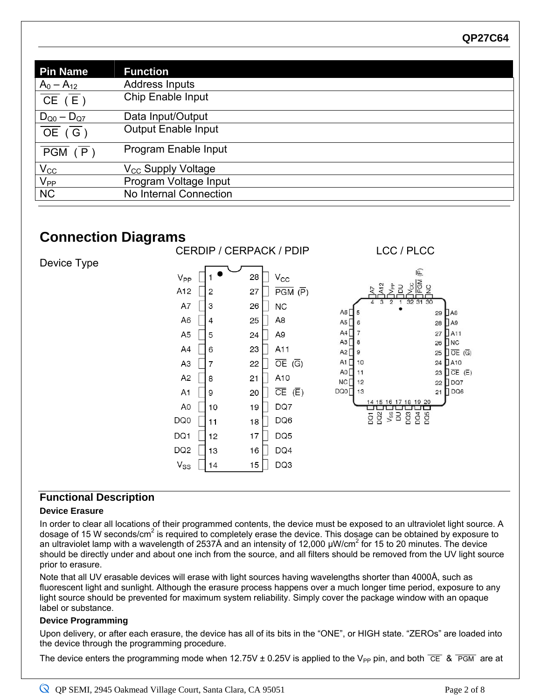| <b>Pin Name</b>                      | <b>Function</b>                |
|--------------------------------------|--------------------------------|
|                                      | <b>Address Inputs</b>          |
| $\frac{A_0 - A_{12}}{CE} \frac{}{E}$ | Chip Enable Input              |
| $D_{Q0} - D_{Q7}$                    | Data Input/Output              |
| $\overline{OE}$ ( $\overline{G}$ )   | <b>Output Enable Input</b>     |
| PGM (P)                              | Program Enable Input           |
| $V_{CC}$                             | V <sub>CC</sub> Supply Voltage |
| $V_{PP}$                             | Program Voltage Input          |
| <b>NC</b>                            | No Internal Connection         |

## **Connection Diagrams**



### **Functional Description**

#### **Device Erasure**

In order to clear all locations of their programmed contents, the device must be exposed to an ultraviolet light source. A dosage of 15 W seconds/cm<sup>2</sup> is required to completely erase the device. This dosage can be obtained by exposure to an ultraviolet lamp with a wavelength of 2537Å and an intensity of 12,000  $\mu$ W/cm<sup>2</sup> for 15 to 20 minutes. The device should be directly under and about one inch from the source, and all filters should be removed from the UV light source prior to erasure.

Note that all UV erasable devices will erase with light sources having wavelengths shorter than 4000Å, such as fluorescent light and sunlight. Although the erasure process happens over a much longer time period, exposure to any light source should be prevented for maximum system reliability. Simply cover the package window with an opaque label or substance.

#### **Device Programming**

Upon delivery, or after each erasure, the device has all of its bits in the "ONE", or HIGH state. "ZEROs" are loaded into the device through the programming procedure.

The device enters the programming mode when 12.75V ± 0.25V is applied to the V<sub>PP</sub> pin, and both  $\overline{CE}$  &  $\overline{PSM}$  are at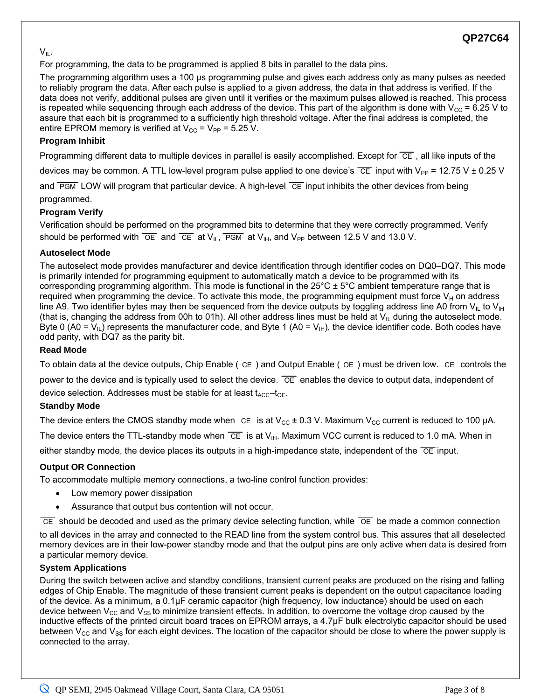#### $V_{IL}$ .

For programming, the data to be programmed is applied 8 bits in parallel to the data pins.

The programming algorithm uses a 100 μs programming pulse and gives each address only as many pulses as needed to reliably program the data. After each pulse is applied to a given address, the data in that address is verified. If the data does not verify, additional pulses are given until it verifies or the maximum pulses allowed is reached. This process is repeated while sequencing through each address of the device. This part of the algorithm is done with  $V_{CC}$  = 6.25 V to assure that each bit is programmed to a sufficiently high threshold voltage. After the final address is completed, the entire EPROM memory is verified at  $V_{CC}$  =  $V_{PP}$  = 5.25 V.

#### **Program Inhibit**

Programming different data to multiple devices in parallel is easily accomplished. Except for  $\overline{CE}$ , all like inputs of the

devices may be common. A TTL low-level program pulse applied to one device's  $\overline{CE}$  input with  $V_{PP}$  = 12.75 V  $\pm$  0.25 V

and  $\overline{PGM}$  LOW will program that particular device. A high-level  $\overline{CE}$  input inhibits the other devices from being

programmed.

#### **Program Verify**

Verification should be performed on the programmed bits to determine that they were correctly programmed. Verify should be performed with  $\overline{OE}$  and  $\overline{CE}$  at  $V_{II}$ ,  $\overline{PGM}$  at  $V_{III}$ , and  $V_{PP}$  between 12.5 V and 13.0 V.

#### **Autoselect Mode**

The autoselect mode provides manufacturer and device identification through identifier codes on DQ0–DQ7. This mode is primarily intended for programming equipment to automatically match a device to be programmed with its corresponding programming algorithm. This mode is functional in the  $25^{\circ}$ C  $\pm$  5°C ambient temperature range that is required when programming the device. To activate this mode, the programming equipment must force  $V_H$  on address line A9. Two identifier bytes may then be sequenced from the device outputs by toggling address line A0 from  $V_{IL}$  to  $V_{IH}$ (that is, changing the address from 00h to 01h). All other address lines must be held at  $V_{II}$  during the autoselect mode. Byte 0 (A0 =  $V_{II}$ ) represents the manufacturer code, and Byte 1 (A0 =  $V_{II}$ ), the device identifier code. Both codes have odd parity, with DQ7 as the parity bit.

#### **Read Mode**

To obtain data at the device outputs, Chip Enable ( $\overline{CE}$ ) and Output Enable ( $\overline{OE}$ ) must be driven low.  $\overline{CE}$  controls the power to the device and is typically used to select the device.  $\overline{OE}$  enables the device to output data, independent of

device selection. Addresses must be stable for at least  $t_{\text{ACC}}-t_{\text{OE}}$ .

#### **Standby Mode**

The device enters the CMOS standby mode when  $\overline{CE}$  is at  $V_{CC}$  ± 0.3 V. Maximum  $V_{CC}$  current is reduced to 100 µA. The device enters the TTL-standby mode when  $\overline{CE}$  is at  $V_{\text{IH}}$ . Maximum VCC current is reduced to 1.0 mA. When in either standby mode, the device places its outputs in a high-impedance state, independent of the  $\overline{OE}$  input.

#### **Output OR Connection**

To accommodate multiple memory connections, a two-line control function provides:

- Low memory power dissipation
- Assurance that output bus contention will not occur.

 $\overline{CE}$  should be decoded and used as the primary device selecting function, while  $\overline{OE}$  be made a common connection

to all devices in the array and connected to the READ line from the system control bus. This assures that all deselected memory devices are in their low-power standby mode and that the output pins are only active when data is desired from a particular memory device.

#### **System Applications**

During the switch between active and standby conditions, transient current peaks are produced on the rising and falling edges of Chip Enable. The magnitude of these transient current peaks is dependent on the output capacitance loading of the device. As a minimum, a 0.1μF ceramic capacitor (high frequency, low inductance) should be used on each device between  $V_{CC}$  and  $V_{SS}$  to minimize transient effects. In addition, to overcome the voltage drop caused by the inductive effects of the printed circuit board traces on EPROM arrays, a 4.7μF bulk electrolytic capacitor should be used between  $V_{\rm CC}$  and  $V_{\rm SS}$  for each eight devices. The location of the capacitor should be close to where the power supply is connected to the array.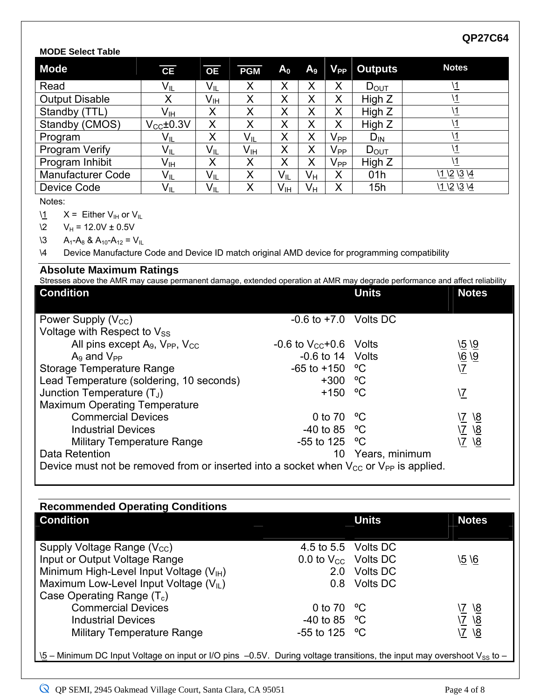## **MODE Select Table**

| <b>Mode</b>                                                                                                    | $\overline{\mathsf{CE}}$ | $\overline{OE}$         | <b>PGM</b>              | A <sub>0</sub>          | A <sub>9</sub>          | $V_{PP}$                | <b>Outputs</b>              | <b>Notes</b>                                                                                                                |
|----------------------------------------------------------------------------------------------------------------|--------------------------|-------------------------|-------------------------|-------------------------|-------------------------|-------------------------|-----------------------------|-----------------------------------------------------------------------------------------------------------------------------|
| Read                                                                                                           | $V_{IL}$                 | $V_{IL}$                | $\pmb{\mathsf{X}}$      | X                       | X                       | X                       | $D_{OUT}$                   | $\sqrt{1}$                                                                                                                  |
| <b>Output Disable</b>                                                                                          | $\sf X$                  | V <sub>IH</sub>         | X                       | $\overline{X}$          | X                       | $\sf X$                 | High Z                      | $\mathcal{N}$                                                                                                               |
| Standby (TTL)                                                                                                  | $V_{\text{IH}}$          | X                       | $\overline{\mathsf{X}}$ | $\sf X$                 | $\overline{X}$          | $\overline{\mathsf{X}}$ | High Z                      | $\sqrt{1}$                                                                                                                  |
| Standby (CMOS)                                                                                                 | $V_{\text{CC}}\pm0.3V$   | $\overline{\mathsf{X}}$ | $\overline{\sf x}$      | $\overline{\mathsf{x}}$ | $\overline{\mathsf{X}}$ | $\overline{\mathsf{X}}$ | High Z                      | $\sqrt{1}$                                                                                                                  |
| Program                                                                                                        | $V_{IL}$                 | $\overline{\mathsf{X}}$ | $V_{IL}$                | $\overline{X}$          | $\overline{\mathsf{X}}$ | $V_{\text{PE}}$         | $D_{IN}$                    | $\sqrt{1}$                                                                                                                  |
| Program Verify                                                                                                 | $V_{IL}$                 | $V_{IL}$                | $V_{\text{IH}}$         | $\sf X$                 | $\sf X$                 | $V_{PP}$                | $D_{\text{OUT}}$            | $\overline{1}$                                                                                                              |
| Program Inhibit                                                                                                | $V_{I H}$                | X                       | X                       | X                       | $\sf X$                 | $V_{PP}$                | High Z                      | $\sqrt{1}$                                                                                                                  |
| <b>Manufacturer Code</b>                                                                                       | $V_{IL}$                 | $V_{IL}$                | $\sf X$                 | $V_{IL}$                | $V_H$                   | $\sf X$                 | 01h                         | 11 12 13 14                                                                                                                 |
| <b>Device Code</b>                                                                                             | $V_{IL}$                 | $V_{IL}$                | X                       | V <sub>IH</sub>         | $V_{H}$                 | X                       | 15h                         | 11 12 13 14                                                                                                                 |
| Notes:                                                                                                         |                          |                         |                         |                         |                         |                         |                             |                                                                                                                             |
| $\mathbf{1}$<br>$X =$ Either $V_{\text{IH}}$ or $V_{\text{IIL}}$                                               |                          |                         |                         |                         |                         |                         |                             |                                                                                                                             |
| $V_H$ = 12.0V $\pm$ 0.5V<br>$\sqrt{2}$                                                                         |                          |                         |                         |                         |                         |                         |                             |                                                                                                                             |
| $\sqrt{3}$<br>$A_1 - A_8$ & $A_{10} - A_{12} = V_{11}$                                                         |                          |                         |                         |                         |                         |                         |                             |                                                                                                                             |
| $\setminus$ 4<br>Device Manufacture Code and Device ID match original AMD device for programming compatibility |                          |                         |                         |                         |                         |                         |                             |                                                                                                                             |
| <b>Absolute Maximum Ratings</b>                                                                                |                          |                         |                         |                         |                         |                         |                             | Stresses above the AMR may cause permanent damage, extended operation at AMR may degrade performance and affect reliability |
| <b>Condition</b>                                                                                               |                          |                         |                         |                         |                         |                         | <b>Units</b>                | <b>Notes</b>                                                                                                                |
|                                                                                                                |                          |                         |                         |                         |                         |                         |                             |                                                                                                                             |
| $-0.6$ to $+7.0$ Volts DC<br>Power Supply $(V_{\text{CC}})$                                                    |                          |                         |                         |                         |                         |                         |                             |                                                                                                                             |
| Voltage with Respect to Vss                                                                                    |                          |                         |                         |                         |                         |                         |                             |                                                                                                                             |
| All pins except A <sub>9</sub> , V <sub>PP</sub> , V <sub>CC</sub>                                             |                          |                         |                         |                         |                         |                         | -0.6 to $V_{CC}$ +0.6 Volts | 15 19                                                                                                                       |
| $A9$ and $VPP$                                                                                                 |                          |                         |                         |                         |                         |                         | $-0.6$ to 14 Volts          |                                                                                                                             |
| $\frac{\sqrt{6}}{\sqrt{2}}$<br>°C<br><b>Storage Temperature Range</b><br>$-65$ to $+150$                       |                          |                         |                         |                         |                         |                         |                             |                                                                                                                             |
| Lead Temperature (soldering, 10 seconds)<br>$+300$<br>$\rm ^{o}C$                                              |                          |                         |                         |                         |                         |                         |                             |                                                                                                                             |
| $^{\circ}C$<br>Junction Temperature $(T_J)$<br>$+150$<br>$\sqrt{7}$                                            |                          |                         |                         |                         |                         |                         |                             |                                                                                                                             |
| <b>Maximum Operating Temperature</b>                                                                           |                          |                         |                         |                         |                         |                         |                             |                                                                                                                             |
| $^{\circ}C$<br><b>Commercial Devices</b><br>0 to 70<br>\ <u>7</u>                                              |                          |                         |                         |                         |                         | $\overline{8}$          |                             |                                                                                                                             |
| $\frac{\sqrt{7}}{\sqrt{7}}$<br>$\frac{18}{18}$<br>$\rm ^{o}C$<br><b>Industrial Devices</b><br>$-40$ to 85      |                          |                         |                         |                         |                         |                         |                             |                                                                                                                             |
| $\rm ^{o}C$<br><b>Military Temperature Range</b><br>$-55$ to 125                                               |                          |                         |                         |                         |                         |                         |                             |                                                                                                                             |
| Data Retention<br>10<br>Years, minimum                                                                         |                          |                         |                         |                         |                         |                         |                             |                                                                                                                             |
| Device must not be removed from or inserted into a socket when $V_{CC}$ or $V_{PP}$ is applied.                |                          |                         |                         |                         |                         |                         |                             |                                                                                                                             |

| <b>Recommended Operating Conditions</b>                                                                                                    |                          |                 |                          |
|--------------------------------------------------------------------------------------------------------------------------------------------|--------------------------|-----------------|--------------------------|
| <b>Condition</b>                                                                                                                           |                          | <b>Units</b>    | <b>Notes</b>             |
|                                                                                                                                            |                          |                 |                          |
| Supply Voltage Range $(V_{CC})$                                                                                                            | 4.5 to 5.5 Volts DC      |                 |                          |
| Input or Output Voltage Range                                                                                                              | 0.0 to $V_{CC}$ Volts DC |                 | \5 \6                    |
| Minimum High-Level Input Voltage (V <sub>IH</sub> )                                                                                        | 2.0                      | <b>Volts DC</b> |                          |
| Maximum Low-Level Input Voltage $(V_{ L})$                                                                                                 | 0.8                      | <b>Volts DC</b> |                          |
| Case Operating Range $(T_c)$                                                                                                               |                          |                 |                          |
| <b>Commercial Devices</b>                                                                                                                  | 0 to 70 $\degree$ C      |                 | <u>\8</u>                |
| <b>Industrial Devices</b>                                                                                                                  | $-40$ to 85 °C           |                 | $\sqrt{8}$<br>$\sqrt{7}$ |
| <b>Military Temperature Range</b>                                                                                                          | $-55$ to 125 °C          |                 | ۱8<br>$\sqrt{7}$         |
|                                                                                                                                            |                          |                 |                          |
| $\sqrt{5}$ – Minimum DC Input Voltage on input or I/O pins –0.5V. During voltage transitions, the input may overshoot V <sub>SS</sub> to – |                          |                 |                          |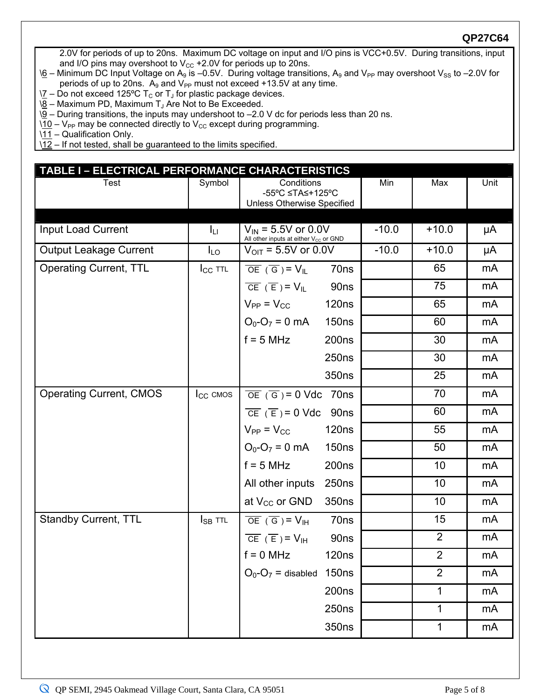2.0V for periods of up to 20ns. Maximum DC voltage on input and I/O pins is VCC+0.5V. During transitions, input and I/O pins may overshoot to  $V_{CC}$  +2.0V for periods up to 20ns.

- $\delta$  Minimum DC Input Voltage on A<sub>9</sub> is –0.5V. During voltage transitions, A<sub>9</sub> and V<sub>PP</sub> may overshoot V<sub>SS</sub> to –2.0V for periods of up to 20ns.  $A_9$  and  $V_{PP}$  must not exceed +13.5V at any time.
- $\Sigma$  Do not exceed 125°C T<sub>c</sub> or T<sub>J</sub> for plastic package devices.
- $\sqrt{8}$  Maximum PD, Maximum T<sub>J</sub> Are Not to Be Exceeded.
- $\sqrt{9}$  During transitions, the inputs may undershoot to –2.0 V dc for periods less than 20 ns.
- $10 V_{PP}$  may be connected directly to  $V_{CC}$  except during programming.

\11 – Qualification Only.

\12 – If not tested, shall be guaranteed to the limits specified.

| TABLE I - ELECTRICAL PERFORMANCE CHARACTERISTICS |               |                                                                                     |         |                |                |  |
|--------------------------------------------------|---------------|-------------------------------------------------------------------------------------|---------|----------------|----------------|--|
| Test                                             | Symbol        | Conditions<br>-55°C ≤TA≤+125°C<br><b>Unless Otherwise Specified</b>                 | Min     | Max            | Unit           |  |
|                                                  |               |                                                                                     |         |                |                |  |
| Input Load Current                               | Iц            | $V_{\text{IN}}$ = 5.5V or 0.0V<br>All other inputs at either V <sub>cc</sub> or GND | $-10.0$ | $+10.0$        | μA             |  |
| <b>Output Leakage Current</b>                    | $I_{LO}$      | $V_{\text{OIT}}$ = 5.5V or 0.0V                                                     | $-10.0$ | $+10.0$        | μA             |  |
| <b>Operating Current, TTL</b>                    | $I_{CC}$ TTL  | $\overline{OE} (\overline{G}) = V_{IL}$<br>70ns                                     |         | 65             | mA             |  |
|                                                  |               | $\overline{CE} (\overline{E}) = V_{IL}$<br>90ns                                     |         | 75             | mA             |  |
|                                                  |               | $V_{PP} = V_{CC}$<br><b>120ns</b>                                                   |         | 65             | mA             |  |
|                                                  |               | $O_0-O_7 = 0$ mA<br><b>150ns</b>                                                    |         | 60             | m <sub>A</sub> |  |
|                                                  |               | $f = 5 MHz$<br>200 <sub>ns</sub>                                                    |         | 30             | mA             |  |
|                                                  |               | 250 <sub>ns</sub>                                                                   |         | 30             | mA             |  |
|                                                  |               | 350ns                                                                               |         | 25             | mA             |  |
| <b>Operating Current, CMOS</b>                   | $I_{CC}$ CMOS | $\overline{OE}$ ( $\overline{G}$ ) = 0 Vdc 70ns                                     |         | 70             | mA             |  |
|                                                  |               | $\overline{CE} (\overline{E}) = 0 \text{ Vdc}$<br>90ns                              |         | 60             | mA             |  |
|                                                  |               | $V_{PP} = V_{CC}$<br><b>120ns</b>                                                   |         | 55             | mA             |  |
|                                                  |               | $O_0-O_7 = 0$ mA<br><b>150ns</b>                                                    |         | 50             | mA             |  |
|                                                  |               | $f = 5 MHz$<br>200 <sub>ns</sub>                                                    |         | 10             | mA             |  |
|                                                  |               | All other inputs<br>250 <sub>ns</sub>                                               |         | 10             | mA             |  |
|                                                  |               | at $V_{CC}$ or GND<br>350ns                                                         |         | 10             | m <sub>A</sub> |  |
| <b>Standby Current, TTL</b>                      | $I_{SB}$ ttl  | $\overline{OE}$ ( $\overline{G}$ ) = V <sub>IH</sub><br>70ns                        |         | 15             | mA             |  |
|                                                  |               | $\overline{CE} (\overline{E}) = V_{\text{IH}}$<br>90 <sub>ns</sub>                  |         | $\overline{2}$ | mA             |  |
|                                                  |               | <b>120ns</b><br>$f = 0$ MHz                                                         |         | $\overline{2}$ | mA             |  |
|                                                  |               | $O_0-O_7$ = disabled 150ns                                                          |         | $\overline{2}$ | mA             |  |
|                                                  |               | 200 <sub>ns</sub>                                                                   |         | 1              | mA             |  |
|                                                  |               | 250 <sub>ns</sub>                                                                   |         | 1              | mA             |  |
|                                                  |               | 350ns                                                                               |         | $\mathbf{1}$   | mA             |  |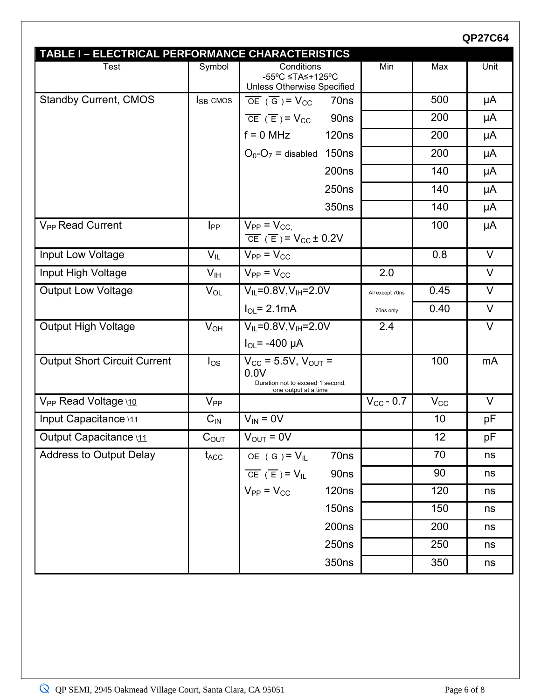| TABLE I - ELECTRICAL PERFORMANCE CHARACTERISTICS |                    |                                                                                                          |                    |              |        |
|--------------------------------------------------|--------------------|----------------------------------------------------------------------------------------------------------|--------------------|--------------|--------|
| Test                                             | Symbol             | Conditions<br>-55°C ≤TA≤+125°C<br>Unless Otherwise Specified                                             | Min                | Max          | Unit   |
| <b>Standby Current, CMOS</b>                     | $I_{SB}$ CMOS      | $\overline{OE}$ ( $\overline{G}$ ) = $V_{CC}$<br>70 <sub>ns</sub>                                        |                    | 500          | μA     |
|                                                  |                    | $\overline{CE}$ (E) = $V_{CC}$<br>90 <sub>ns</sub>                                                       |                    | 200          | μA     |
|                                                  |                    | $f = 0$ MHz<br>120 <sub>ns</sub>                                                                         |                    | 200          | μA     |
|                                                  |                    | $O_0-O_7$ = disabled 150ns                                                                               |                    | 200          | μA     |
|                                                  |                    | 200 <sub>ns</sub>                                                                                        |                    | 140          | μA     |
|                                                  |                    | 250 <sub>ns</sub>                                                                                        |                    | 140          | μA     |
|                                                  |                    | 350ns                                                                                                    |                    | 140          | μA     |
| V <sub>PP</sub> Read Current                     | $I_{PP}$           | $V_{PP} = V_{CC}$<br>$\overline{CE}$ (E) = $V_{CC} \pm 0.2V$                                             |                    | 100          | μA     |
| Input Low Voltage                                | $V_{IL}$           | $\overline{V_{PP}}$ = $V_{CC}$                                                                           |                    | 0.8          | $\vee$ |
| Input High Voltage                               | V <sub>IH</sub>    | $V_{PP} = V_{CC}$                                                                                        | 2.0                |              | V      |
| <b>Output Low Voltage</b>                        | $V_{OL}$           | $V_{IL} = 0.8 V, V_{IH} = 2.0 V$                                                                         | All except 70ns    | 0.45         | $\vee$ |
|                                                  |                    | $I_{OL}$ = 2.1 mA                                                                                        | 70ns only          | 0.40         | V      |
| <b>Output High Voltage</b>                       | $V_{OH}$           | $V_{IL} = 0.8 V, V_{IH} = 2.0 V$                                                                         | 2.4                |              | V      |
|                                                  |                    | $I_{OL} = -400 \mu A$                                                                                    |                    |              |        |
| <b>Output Short Circuit Current</b>              | $I_{OS}$           | $V_{\rm CC}$ = 5.5V, $V_{\rm OUT}$ =<br>0.0V<br>Duration not to exceed 1 second,<br>one output at a time |                    | 100          | mA     |
| V <sub>PP</sub> Read Voltage \10                 | $V_{PP}$           |                                                                                                          | $V_{\rm CC}$ - 0.7 | $V_{\rm CC}$ | V      |
| Input Capacitance \11                            | $C_{IN}$           | $V_{IN} = 0V$                                                                                            |                    | 10           | pF     |
| Output Capacitance \11                           | $C_{OUT}$          | $V_{\text{OUT}} = 0V$                                                                                    |                    | 12           | рF     |
| <b>Address to Output Delay</b>                   | $t_{\mathsf{ACC}}$ | $\overline{OE} (\overline{G}) = V_{IL}$<br>70ns                                                          |                    | 70           | ns     |
|                                                  |                    | $\overline{CE}$ (E)= $V_{IL}$<br>90ns                                                                    |                    | 90           | ns     |
|                                                  |                    | $V_{PP} = V_{CC}$<br><b>120ns</b>                                                                        |                    | 120          | ns     |
|                                                  |                    | <b>150ns</b>                                                                                             |                    | 150          | ns     |
|                                                  |                    | 200 <sub>ns</sub>                                                                                        |                    | 200          | ns     |
|                                                  |                    | 250 <sub>ns</sub>                                                                                        |                    | 250          | ns     |
|                                                  |                    | 350ns                                                                                                    |                    | 350          | ns     |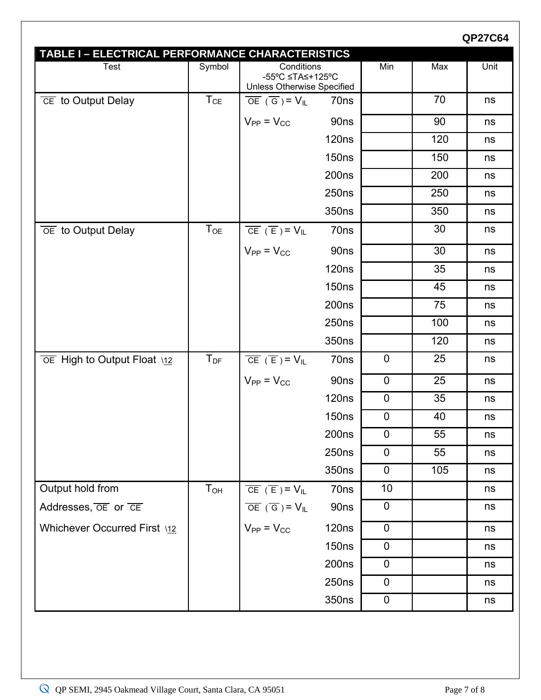|                                                          |          |                                                                     |                   |             |     | <b>QP27C64</b> |
|----------------------------------------------------------|----------|---------------------------------------------------------------------|-------------------|-------------|-----|----------------|
| TABLE I - ELECTRICAL PERFORMANCE CHARACTERISTICS<br>Test | Symbol   | Conditions                                                          |                   | Min         | Max | Unit           |
|                                                          |          | -55°C ≤TA≤+125°C<br><b>Unless Otherwise Specified</b>               |                   |             |     |                |
| $\overline{CE}$ to Output Delay                          | $T_{CE}$ | $\overline{OE}$ ( $\overline{G}$ ) = $V_{IL}$                       | 70ns              |             | 70  | ns             |
|                                                          |          | $V_{PP} = V_{CC}$                                                   | 90ns              |             | 90  | ns             |
|                                                          |          |                                                                     | <b>120ns</b>      |             | 120 | ns             |
|                                                          |          |                                                                     | <b>150ns</b>      |             | 150 | ns             |
|                                                          |          |                                                                     | 200 <sub>ns</sub> |             | 200 | ns             |
|                                                          |          |                                                                     | 250 <sub>ns</sub> |             | 250 | ns             |
|                                                          |          |                                                                     | 350ns             |             | 350 | ns             |
| $\overline{OE}$ to Output Delay                          | $T_{OE}$ | $\overline{\text{CE}} (\overline{\text{E}}) = \text{V}_{\text{IL}}$ | 70ns              |             | 30  | ns             |
|                                                          |          | $V_{PP} = V_{CC}$                                                   | 90ns              |             | 30  | ns             |
|                                                          |          |                                                                     | <b>120ns</b>      |             | 35  | ns             |
|                                                          |          |                                                                     | <b>150ns</b>      |             | 45  | ns             |
|                                                          |          |                                                                     | 200 <sub>ns</sub> |             | 75  | ns             |
|                                                          |          |                                                                     | 250 <sub>ns</sub> |             | 100 | ns             |
|                                                          |          |                                                                     | 350ns             |             | 120 | ns             |
| OE High to Output Float \12                              | $T_{DF}$ | $\overline{CE} (\overline{E}) = V_{IL}$                             | 70ns              | $\mathbf 0$ | 25  | ns             |
|                                                          |          | $V_{PP} = V_{CC}$                                                   | 90ns              | $\mathbf 0$ | 25  | ns             |
|                                                          |          |                                                                     | 120 <sub>ns</sub> | $\mathbf 0$ | 35  | ns             |
|                                                          |          |                                                                     | 150 <sub>ns</sub> | $\mathbf 0$ | 40  | ns             |
|                                                          |          |                                                                     | 200 <sub>ns</sub> | $\mathbf 0$ | 55  | ns             |
|                                                          |          |                                                                     | 250ns             | $\mathbf 0$ | 55  | ns             |
|                                                          |          |                                                                     | 350ns             | $\mathbf 0$ | 105 | ns             |
| Output hold from                                         | $T_{OH}$ | $\overline{CE}$ ( $\overline{E}$ ) = $V_{IL}$                       | 70ns              | 10          |     | ns             |
| Addresses, OE or CE                                      |          | $\overline{OE}$ ( $\overline{G}$ ) = $V_{IL}$                       | 90ns              | $\mathbf 0$ |     | ns             |
| Whichever Occurred First \12                             |          | $V_{PP} = V_{CC}$                                                   | 120 <sub>ns</sub> | $\mathbf 0$ |     | ns             |
|                                                          |          |                                                                     | <b>150ns</b>      | $\mathbf 0$ |     | ns             |
|                                                          |          |                                                                     | 200 <sub>ns</sub> | $\mathbf 0$ |     | ns             |
|                                                          |          |                                                                     | 250 <sub>ns</sub> | $\pmb{0}$   |     | ns             |
|                                                          |          |                                                                     | 350ns             | $\mathbf 0$ |     | ns             |